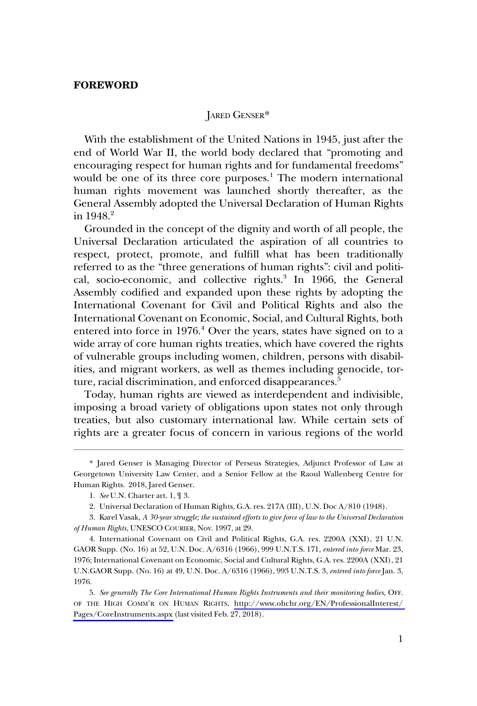### JARED GENSER\*

With the establishment of the United Nations in 1945, just after the end of World War II, the world body declared that "promoting and encouraging respect for human rights and for fundamental freedoms" would be one of its three core purposes.<sup>1</sup> The modern international human rights movement was launched shortly thereafter, as the General Assembly adopted the Universal Declaration of Human Rights in  $1948.2$ 

Grounded in the concept of the dignity and worth of all people, the Universal Declaration articulated the aspiration of all countries to respect, protect, promote, and fulfill what has been traditionally referred to as the "three generations of human rights": civil and political, socio-economic, and collective rights.<sup>3</sup> In 1966, the General Assembly codified and expanded upon these rights by adopting the International Covenant for Civil and Political Rights and also the International Covenant on Economic, Social, and Cultural Rights, both entered into force in 1976.<sup>4</sup> Over the years, states have signed on to a wide array of core human rights treaties, which have covered the rights of vulnerable groups including women, children, persons with disabilities, and migrant workers, as well as themes including genocide, torture, racial discrimination, and enforced disappearances.<sup>5</sup>

Today, human rights are viewed as interdependent and indivisible, imposing a broad variety of obligations upon states not only through treaties, but also customary international law. While certain sets of rights are a greater focus of concern in various regions of the world

<sup>\*</sup> Jared Genser is Managing Director of Perseus Strategies, Adjunct Professor of Law at Georgetown University Law Center, and a Senior Fellow at the Raoul Wallenberg Centre for Human Rights. 2018, Jared Genser.

<sup>1.</sup> *See* U.N. Charter art. 1, ¶ 3.

<sup>2.</sup> Universal Declaration of Human Rights, G.A. res. 217A (III), U.N. Doc A/810 (1948).

<sup>3.</sup> Karel Vasak, *A 30-year struggle; the sustained efforts to give force of law to the Universal Declaration of Human Rights*, UNESCO COURIER, Nov. 1997, at 29.

<sup>4.</sup> International Covenant on Civil and Political Rights, G.A. res. 2200A (XXI), 21 U.N. GAOR Supp. (No. 16) at 52, U.N. Doc. A/6316 (1966), 999 U.N.T.S. 171, *entered into force* Mar. 23, 1976; International Covenant on Economic, Social and Cultural Rights, G.A. res. 2200A (XXI), 21 U.N.GAOR Supp. (No. 16) at 49, U.N. Doc. A/6316 (1966), 993 U.N.T.S. 3, *entered into force* Jan. 3, 1976.

*See generally The Core International Human Rights Instruments and their monitoring bodies*, OFF. 5. OF THE HIGH COMM'R ON HUMAN RIGHTS, [http://www.ohchr.org/EN/ProfessionalInterest/](http://www.ohchr.org/EN/ProfessionalInterest/Pages/CoreInstruments.aspx)  [Pages/CoreInstruments.aspx](http://www.ohchr.org/EN/ProfessionalInterest/Pages/CoreInstruments.aspx) (last visited Feb. 27, 2018).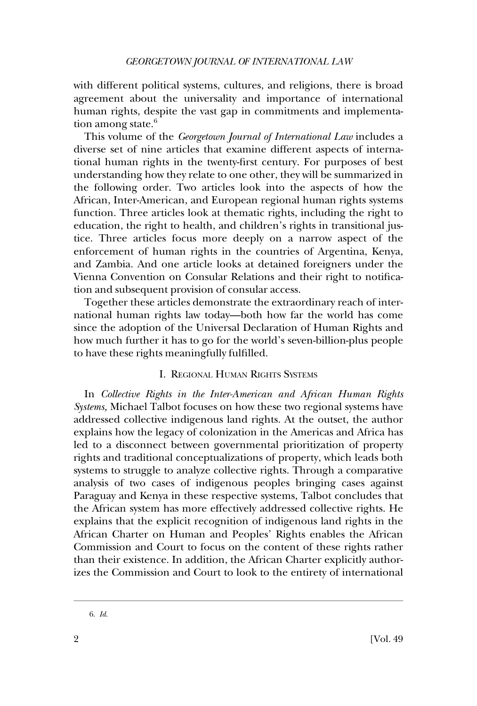with different political systems, cultures, and religions, there is broad agreement about the universality and importance of international human rights, despite the vast gap in commitments and implementation among state. $6$ 

This volume of the *Georgetown Journal of International Law* includes a diverse set of nine articles that examine different aspects of international human rights in the twenty-first century. For purposes of best understanding how they relate to one other, they will be summarized in the following order. Two articles look into the aspects of how the African, Inter-American, and European regional human rights systems function. Three articles look at thematic rights, including the right to education, the right to health, and children's rights in transitional justice. Three articles focus more deeply on a narrow aspect of the enforcement of human rights in the countries of Argentina, Kenya, and Zambia. And one article looks at detained foreigners under the Vienna Convention on Consular Relations and their right to notification and subsequent provision of consular access.

Together these articles demonstrate the extraordinary reach of international human rights law today—both how far the world has come since the adoption of the Universal Declaration of Human Rights and how much further it has to go for the world's seven-billion-plus people to have these rights meaningfully fulfilled.

## I. REGIONAL HUMAN RIGHTS SYSTEMS

In *Collective Rights in the Inter-American and African Human Rights Systems,* Michael Talbot focuses on how these two regional systems have addressed collective indigenous land rights. At the outset, the author explains how the legacy of colonization in the Americas and Africa has led to a disconnect between governmental prioritization of property rights and traditional conceptualizations of property, which leads both systems to struggle to analyze collective rights. Through a comparative analysis of two cases of indigenous peoples bringing cases against Paraguay and Kenya in these respective systems, Talbot concludes that the African system has more effectively addressed collective rights. He explains that the explicit recognition of indigenous land rights in the African Charter on Human and Peoples' Rights enables the African Commission and Court to focus on the content of these rights rather than their existence. In addition, the African Charter explicitly authorizes the Commission and Court to look to the entirety of international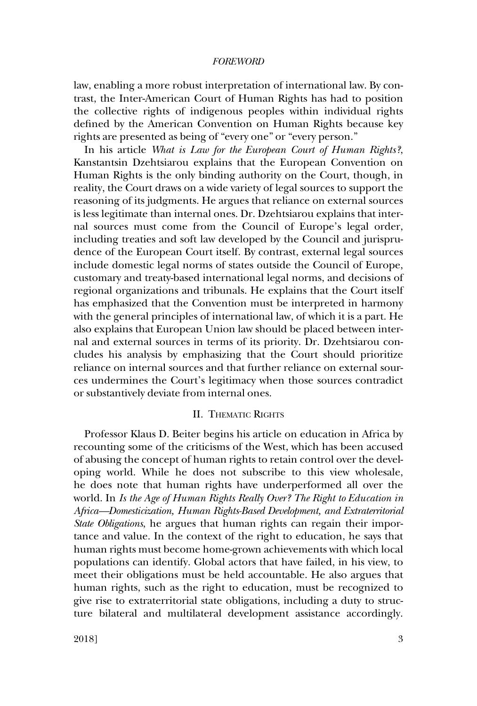law, enabling a more robust interpretation of international law. By contrast, the Inter-American Court of Human Rights has had to position the collective rights of indigenous peoples within individual rights defined by the American Convention on Human Rights because key rights are presented as being of "every one" or "every person."

In his article *What is Law for the European Court of Human Rights?*, Kanstantsin Dzehtsiarou explains that the European Convention on Human Rights is the only binding authority on the Court, though, in reality, the Court draws on a wide variety of legal sources to support the reasoning of its judgments. He argues that reliance on external sources is less legitimate than internal ones. Dr. Dzehtsiarou explains that internal sources must come from the Council of Europe's legal order, including treaties and soft law developed by the Council and jurisprudence of the European Court itself. By contrast, external legal sources include domestic legal norms of states outside the Council of Europe, customary and treaty-based international legal norms, and decisions of regional organizations and tribunals. He explains that the Court itself has emphasized that the Convention must be interpreted in harmony with the general principles of international law, of which it is a part. He also explains that European Union law should be placed between internal and external sources in terms of its priority. Dr. Dzehtsiarou concludes his analysis by emphasizing that the Court should prioritize reliance on internal sources and that further reliance on external sources undermines the Court's legitimacy when those sources contradict or substantively deviate from internal ones.

#### II. THEMATIC RIGHTS

Professor Klaus D. Beiter begins his article on education in Africa by recounting some of the criticisms of the West, which has been accused of abusing the concept of human rights to retain control over the developing world. While he does not subscribe to this view wholesale, he does note that human rights have underperformed all over the world. In *Is the Age of Human Rights Really Over? The Right to Education in Africa—Domesticization, Human Rights-Based Development, and Extraterritorial State Obligations*, he argues that human rights can regain their importance and value. In the context of the right to education, he says that human rights must become home-grown achievements with which local populations can identify. Global actors that have failed, in his view, to meet their obligations must be held accountable. He also argues that human rights, such as the right to education, must be recognized to give rise to extraterritorial state obligations, including a duty to structure bilateral and multilateral development assistance accordingly.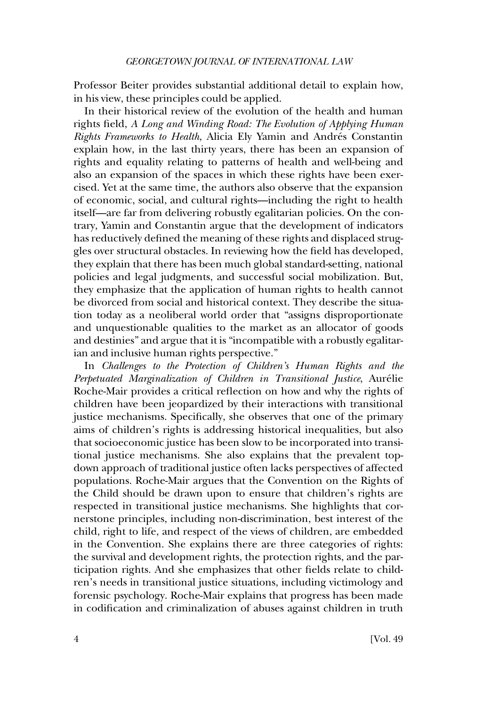Professor Beiter provides substantial additional detail to explain how, in his view, these principles could be applied.

In their historical review of the evolution of the health and human rights field, *A Long and Winding Road: The Evolution of Applying Human Rights Frameworks to Health*, Alicia Ely Yamin and Andrés Constantin explain how, in the last thirty years, there has been an expansion of rights and equality relating to patterns of health and well-being and also an expansion of the spaces in which these rights have been exercised. Yet at the same time, the authors also observe that the expansion of economic, social, and cultural rights—including the right to health itself—are far from delivering robustly egalitarian policies. On the contrary, Yamin and Constantin argue that the development of indicators has reductively defined the meaning of these rights and displaced struggles over structural obstacles. In reviewing how the field has developed, they explain that there has been much global standard-setting, national policies and legal judgments, and successful social mobilization. But, they emphasize that the application of human rights to health cannot be divorced from social and historical context. They describe the situation today as a neoliberal world order that "assigns disproportionate and unquestionable qualities to the market as an allocator of goods and destinies" and argue that it is "incompatible with a robustly egalitarian and inclusive human rights perspective."

In *Challenges to the Protection of Children's Human Rights and the*  Perpetuated Marginalization of Children in Transitional Justice, Aurélie Roche-Mair provides a critical reflection on how and why the rights of children have been jeopardized by their interactions with transitional justice mechanisms. Specifically, she observes that one of the primary aims of children's rights is addressing historical inequalities, but also that socioeconomic justice has been slow to be incorporated into transitional justice mechanisms. She also explains that the prevalent topdown approach of traditional justice often lacks perspectives of affected populations. Roche-Mair argues that the Convention on the Rights of the Child should be drawn upon to ensure that children's rights are respected in transitional justice mechanisms. She highlights that cornerstone principles, including non-discrimination, best interest of the child, right to life, and respect of the views of children, are embedded in the Convention. She explains there are three categories of rights: the survival and development rights, the protection rights, and the participation rights. And she emphasizes that other fields relate to children's needs in transitional justice situations, including victimology and forensic psychology. Roche-Mair explains that progress has been made in codification and criminalization of abuses against children in truth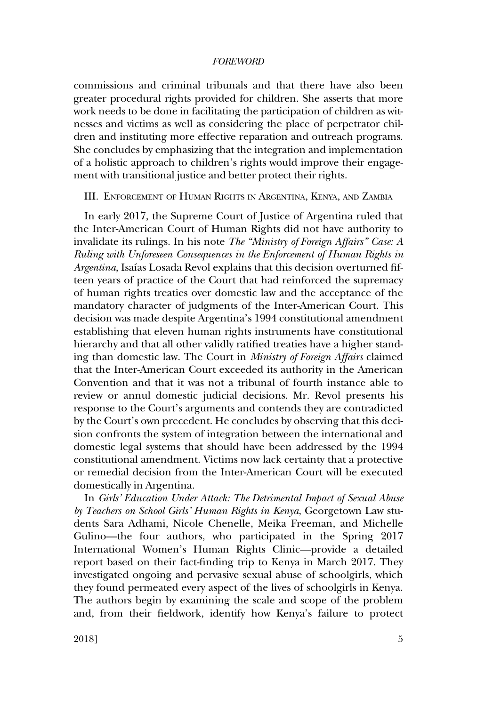commissions and criminal tribunals and that there have also been greater procedural rights provided for children. She asserts that more work needs to be done in facilitating the participation of children as witnesses and victims as well as considering the place of perpetrator children and instituting more effective reparation and outreach programs. She concludes by emphasizing that the integration and implementation of a holistic approach to children's rights would improve their engagement with transitional justice and better protect their rights.

# III. ENFORCEMENT OF HUMAN RIGHTS IN ARGENTINA, KENYA, AND ZAMBIA

In early 2017, the Supreme Court of Justice of Argentina ruled that the Inter-American Court of Human Rights did not have authority to invalidate its rulings. In his note *The "Ministry of Foreign Affairs" Case: A Ruling with Unforeseen Consequences in the Enforcement of Human Rights in*  Argentina, Isaías Losada Revol explains that this decision overturned fifteen years of practice of the Court that had reinforced the supremacy of human rights treaties over domestic law and the acceptance of the mandatory character of judgments of the Inter-American Court. This decision was made despite Argentina's 1994 constitutional amendment establishing that eleven human rights instruments have constitutional hierarchy and that all other validly ratified treaties have a higher standing than domestic law. The Court in *Ministry of Foreign Affairs* claimed that the Inter-American Court exceeded its authority in the American Convention and that it was not a tribunal of fourth instance able to review or annul domestic judicial decisions. Mr. Revol presents his response to the Court's arguments and contends they are contradicted by the Court's own precedent. He concludes by observing that this decision confronts the system of integration between the international and domestic legal systems that should have been addressed by the 1994 constitutional amendment. Victims now lack certainty that a protective or remedial decision from the Inter-American Court will be executed domestically in Argentina.

In *Girls' Education Under Attack: The Detrimental Impact of Sexual Abuse by Teachers on School Girls' Human Rights in Kenya*, Georgetown Law students Sara Adhami, Nicole Chenelle, Meika Freeman, and Michelle Gulino—the four authors, who participated in the Spring 2017 International Women's Human Rights Clinic—provide a detailed report based on their fact-finding trip to Kenya in March 2017. They investigated ongoing and pervasive sexual abuse of schoolgirls, which they found permeated every aspect of the lives of schoolgirls in Kenya. The authors begin by examining the scale and scope of the problem and, from their fieldwork, identify how Kenya's failure to protect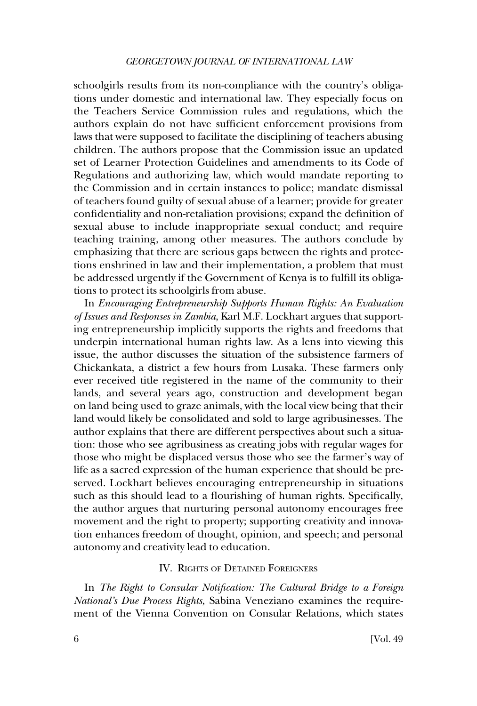#### *GEORGETOWN JOURNAL OF INTERNATIONAL LAW*

schoolgirls results from its non-compliance with the country's obligations under domestic and international law. They especially focus on the Teachers Service Commission rules and regulations, which the authors explain do not have sufficient enforcement provisions from laws that were supposed to facilitate the disciplining of teachers abusing children. The authors propose that the Commission issue an updated set of Learner Protection Guidelines and amendments to its Code of Regulations and authorizing law, which would mandate reporting to the Commission and in certain instances to police; mandate dismissal of teachers found guilty of sexual abuse of a learner; provide for greater confidentiality and non-retaliation provisions; expand the definition of sexual abuse to include inappropriate sexual conduct; and require teaching training, among other measures. The authors conclude by emphasizing that there are serious gaps between the rights and protections enshrined in law and their implementation, a problem that must be addressed urgently if the Government of Kenya is to fulfill its obligations to protect its schoolgirls from abuse.

In *Encouraging Entrepreneurship Supports Human Rights: An Evaluation of Issues and Responses in Zambia*, Karl M.F. Lockhart argues that supporting entrepreneurship implicitly supports the rights and freedoms that underpin international human rights law. As a lens into viewing this issue, the author discusses the situation of the subsistence farmers of Chickankata, a district a few hours from Lusaka. These farmers only ever received title registered in the name of the community to their lands, and several years ago, construction and development began on land being used to graze animals, with the local view being that their land would likely be consolidated and sold to large agribusinesses. The author explains that there are different perspectives about such a situation: those who see agribusiness as creating jobs with regular wages for those who might be displaced versus those who see the farmer's way of life as a sacred expression of the human experience that should be preserved. Lockhart believes encouraging entrepreneurship in situations such as this should lead to a flourishing of human rights. Specifically, the author argues that nurturing personal autonomy encourages free movement and the right to property; supporting creativity and innovation enhances freedom of thought, opinion, and speech; and personal autonomy and creativity lead to education.

# IV. RIGHTS OF DETAINED FOREIGNERS

In *The Right to Consular Notification: The Cultural Bridge to a Foreign National's Due Process Rights*, Sabina Veneziano examines the requirement of the Vienna Convention on Consular Relations, which states